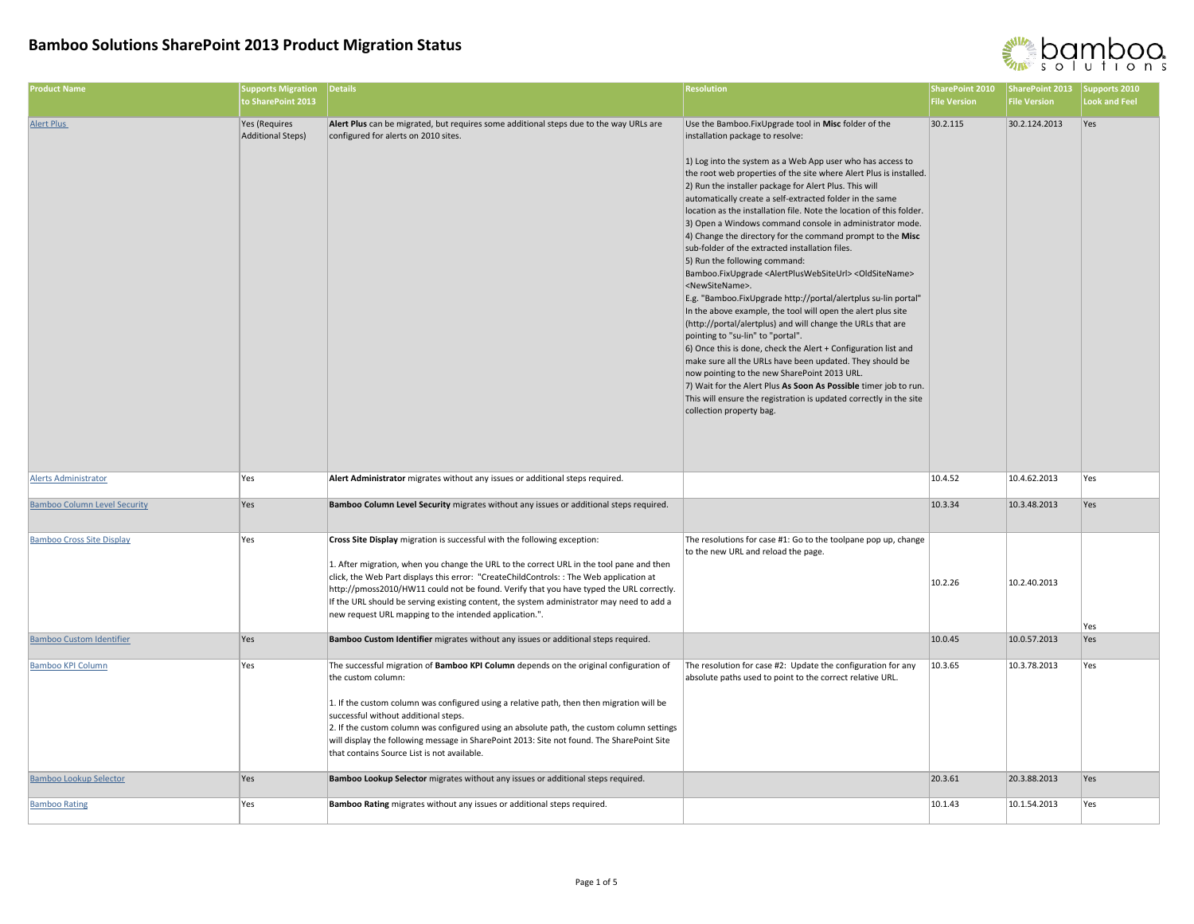

| <b>Product Name</b>                 | <b>Supports Migration</b><br>to SharePoint 2013 | Details                                                                                                                                                                                                                                                                                                                                                                                                                                                                                                           | <b>Resolution</b>                                                                                                                                                                                                                                                                                                                                                                                                                                                                                                                                                                                                                                                                                                                                                                                                                                                                                                                                                                                                                                                                                                                                                                                                                                                                                                                                                          | <b>SharePoint 2010</b><br><b>File Version</b> | <b>SharePoint 2013</b><br><b>File Version</b> | Supports 2010<br><b>Look and Feel</b> |
|-------------------------------------|-------------------------------------------------|-------------------------------------------------------------------------------------------------------------------------------------------------------------------------------------------------------------------------------------------------------------------------------------------------------------------------------------------------------------------------------------------------------------------------------------------------------------------------------------------------------------------|----------------------------------------------------------------------------------------------------------------------------------------------------------------------------------------------------------------------------------------------------------------------------------------------------------------------------------------------------------------------------------------------------------------------------------------------------------------------------------------------------------------------------------------------------------------------------------------------------------------------------------------------------------------------------------------------------------------------------------------------------------------------------------------------------------------------------------------------------------------------------------------------------------------------------------------------------------------------------------------------------------------------------------------------------------------------------------------------------------------------------------------------------------------------------------------------------------------------------------------------------------------------------------------------------------------------------------------------------------------------------|-----------------------------------------------|-----------------------------------------------|---------------------------------------|
| <b>Alert Plus</b>                   | Yes (Requires<br><b>Additional Steps)</b>       | Alert Plus can be migrated, but requires some additional steps due to the way URLs are<br>configured for alerts on 2010 sites.                                                                                                                                                                                                                                                                                                                                                                                    | Use the Bamboo.FixUpgrade tool in Misc folder of the<br>installation package to resolve:<br>1) Log into the system as a Web App user who has access to<br>the root web properties of the site where Alert Plus is installed.<br>2) Run the installer package for Alert Plus. This will<br>automatically create a self-extracted folder in the same<br>location as the installation file. Note the location of this folder.<br>3) Open a Windows command console in administrator mode.<br>4) Change the directory for the command prompt to the Misc<br>sub-folder of the extracted installation files.<br>5) Run the following command:<br>Bamboo.FixUpgrade <alertpluswebsiteurl> <oldsitename><br/><newsitename>.<br/>E.g. "Bamboo.FixUpgrade http://portal/alertplus su-lin portal"<br/>In the above example, the tool will open the alert plus site<br/>(http://portal/alertplus) and will change the URLs that are<br/>pointing to "su-lin" to "portal".<br/>6) Once this is done, check the Alert + Configuration list and<br/>make sure all the URLs have been updated. They should be<br/>now pointing to the new SharePoint 2013 URL.<br/>7) Wait for the Alert Plus As Soon As Possible timer job to run.<br/>This will ensure the registration is updated correctly in the site<br/>collection property bag.</newsitename></oldsitename></alertpluswebsiteurl> | 30.2.115                                      | 30.2.124.2013                                 | Yes                                   |
| <b>Alerts Administrator</b>         | Yes                                             | Alert Administrator migrates without any issues or additional steps required.                                                                                                                                                                                                                                                                                                                                                                                                                                     |                                                                                                                                                                                                                                                                                                                                                                                                                                                                                                                                                                                                                                                                                                                                                                                                                                                                                                                                                                                                                                                                                                                                                                                                                                                                                                                                                                            | 10.4.52                                       | 10.4.62.2013                                  | Yes                                   |
| <b>Bamboo Column Level Security</b> | Yes                                             | Bamboo Column Level Security migrates without any issues or additional steps required.                                                                                                                                                                                                                                                                                                                                                                                                                            |                                                                                                                                                                                                                                                                                                                                                                                                                                                                                                                                                                                                                                                                                                                                                                                                                                                                                                                                                                                                                                                                                                                                                                                                                                                                                                                                                                            | 10.3.34                                       | 10.3.48.2013                                  | Yes                                   |
| <b>Bamboo Cross Site Display</b>    | Yes                                             | Cross Site Display migration is successful with the following exception:<br>1. After migration, when you change the URL to the correct URL in the tool pane and then<br>click, the Web Part displays this error: "CreateChildControls: : The Web application at<br>http://pmoss2010/HW11 could not be found. Verify that you have typed the URL correctly.<br>If the URL should be serving existing content, the system administrator may need to add a<br>new request URL mapping to the intended application.". | The resolutions for case #1: Go to the toolpane pop up, change<br>to the new URL and reload the page.                                                                                                                                                                                                                                                                                                                                                                                                                                                                                                                                                                                                                                                                                                                                                                                                                                                                                                                                                                                                                                                                                                                                                                                                                                                                      | 10.2.26                                       | 10.2.40.2013                                  | Yes                                   |
| <b>Bamboo Custom Identifier</b>     | Yes                                             | Bamboo Custom Identifier migrates without any issues or additional steps required.                                                                                                                                                                                                                                                                                                                                                                                                                                |                                                                                                                                                                                                                                                                                                                                                                                                                                                                                                                                                                                                                                                                                                                                                                                                                                                                                                                                                                                                                                                                                                                                                                                                                                                                                                                                                                            | 10.0.45                                       | 10.0.57.2013                                  | Yes                                   |
| <b>Bamboo KPI Column</b>            | Yes                                             | The successful migration of Bamboo KPI Column depends on the original configuration of<br>the custom column:<br>1. If the custom column was configured using a relative path, then then migration will be<br>successful without additional steps.<br>2. If the custom column was configured using an absolute path, the custom column settings<br>will display the following message in SharePoint 2013: Site not found. The SharePoint Site<br>that contains Source List is not available.                       | The resolution for case #2: Update the configuration for any<br>absolute paths used to point to the correct relative URL.                                                                                                                                                                                                                                                                                                                                                                                                                                                                                                                                                                                                                                                                                                                                                                                                                                                                                                                                                                                                                                                                                                                                                                                                                                                  | 10.3.65                                       | 10.3.78.2013                                  | Yes                                   |
| <b>Bamboo Lookup Selector</b>       | Yes                                             | Bamboo Lookup Selector migrates without any issues or additional steps required.                                                                                                                                                                                                                                                                                                                                                                                                                                  |                                                                                                                                                                                                                                                                                                                                                                                                                                                                                                                                                                                                                                                                                                                                                                                                                                                                                                                                                                                                                                                                                                                                                                                                                                                                                                                                                                            | 20.3.61                                       | 20.3.88.2013                                  | Yes                                   |
| <b>Bamboo Rating</b>                | Yes                                             | Bamboo Rating migrates without any issues or additional steps required.                                                                                                                                                                                                                                                                                                                                                                                                                                           |                                                                                                                                                                                                                                                                                                                                                                                                                                                                                                                                                                                                                                                                                                                                                                                                                                                                                                                                                                                                                                                                                                                                                                                                                                                                                                                                                                            | 10.1.43                                       | 10.1.54.2013                                  | Yes                                   |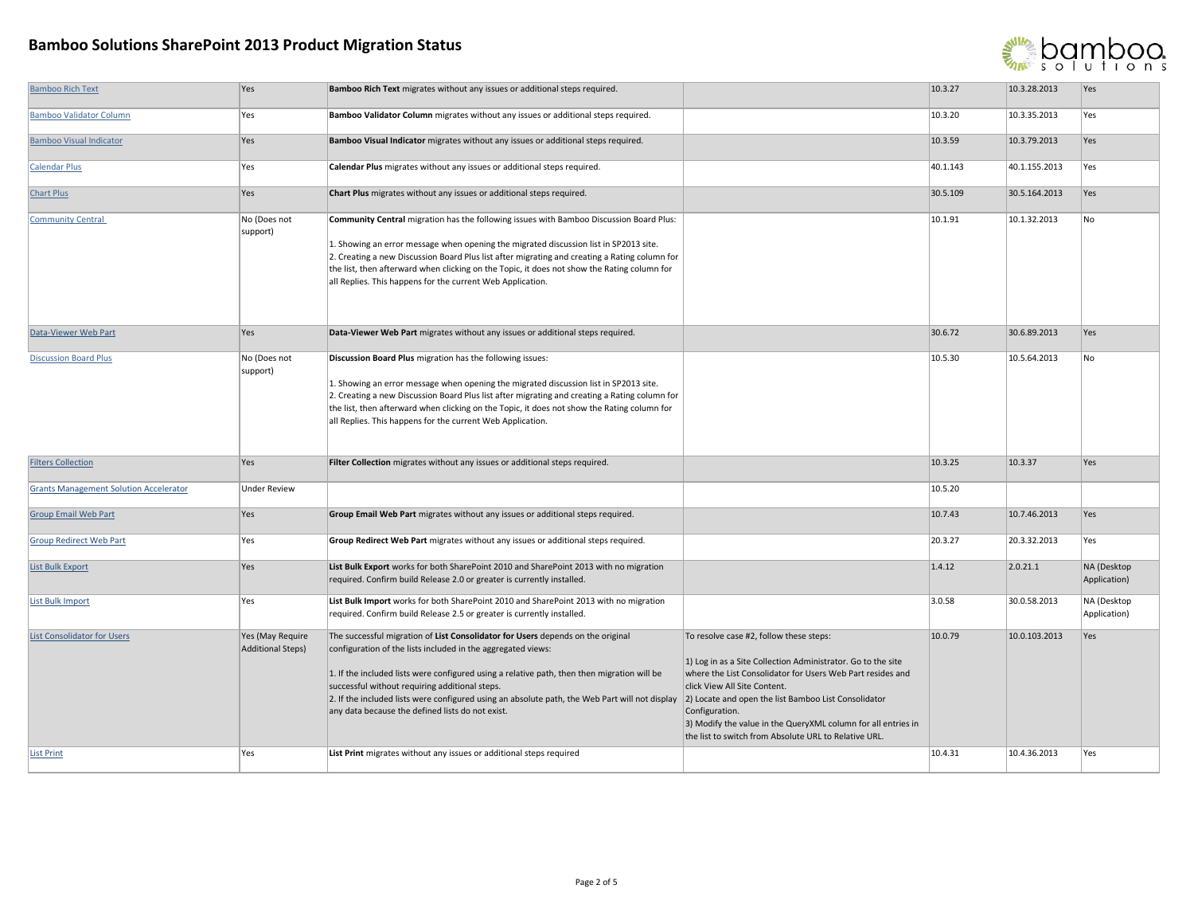

| <b>Bamboo Rich Text</b>                                 | Yes                                                 | <b>Bamboo Rich Text</b> migrates without any issues or additional steps required.                                                                                                                                                                                                                                                                                                                                                                                                                                             |                                                                                                                                                                                                                                                                                                                                                                                                           | 10.3.27            | 10.3.28.2013                  | Yes                         |
|---------------------------------------------------------|-----------------------------------------------------|-------------------------------------------------------------------------------------------------------------------------------------------------------------------------------------------------------------------------------------------------------------------------------------------------------------------------------------------------------------------------------------------------------------------------------------------------------------------------------------------------------------------------------|-----------------------------------------------------------------------------------------------------------------------------------------------------------------------------------------------------------------------------------------------------------------------------------------------------------------------------------------------------------------------------------------------------------|--------------------|-------------------------------|-----------------------------|
| <b>Bamboo Validator Column</b>                          | Yes                                                 | Bamboo Validator Column migrates without any issues or additional steps required.                                                                                                                                                                                                                                                                                                                                                                                                                                             |                                                                                                                                                                                                                                                                                                                                                                                                           | 10.3.20            | 10.3.35.2013                  | Yes                         |
| <b>Bamboo Visual Indicator</b>                          | Yes                                                 | Bamboo Visual Indicator migrates without any issues or additional steps required.                                                                                                                                                                                                                                                                                                                                                                                                                                             |                                                                                                                                                                                                                                                                                                                                                                                                           | 10.3.59            | 10.3.79.2013                  | Yes                         |
| <b>Calendar Plus</b>                                    | Yes                                                 | Calendar Plus migrates without any issues or additional steps required.                                                                                                                                                                                                                                                                                                                                                                                                                                                       |                                                                                                                                                                                                                                                                                                                                                                                                           | 40.1.143           | 40.1.155.2013                 | Yes                         |
| <b>Chart Plus</b>                                       | Yes                                                 | Chart Plus migrates without any issues or additional steps required.                                                                                                                                                                                                                                                                                                                                                                                                                                                          |                                                                                                                                                                                                                                                                                                                                                                                                           | 30.5.109           | 30.5.164.2013                 | Yes                         |
| <b>Community Central</b>                                | No (Does not<br>support)                            | Community Central migration has the following issues with Bamboo Discussion Board Plus:<br>1. Showing an error message when opening the migrated discussion list in SP2013 site.<br>2. Creating a new Discussion Board Plus list after migrating and creating a Rating column for<br>the list, then afterward when clicking on the Topic, it does not show the Rating column for<br>all Replies. This happens for the current Web Application.                                                                                |                                                                                                                                                                                                                                                                                                                                                                                                           | 10.1.91            | 10.1.32.2013                  | N <sub>o</sub>              |
| Data-Viewer Web Part                                    | Yes                                                 | Data-Viewer Web Part migrates without any issues or additional steps required.                                                                                                                                                                                                                                                                                                                                                                                                                                                |                                                                                                                                                                                                                                                                                                                                                                                                           | 30.6.72            | 30.6.89.2013                  | Yes                         |
| <b>Discussion Board Plus</b>                            | No (Does not<br>support)                            | Discussion Board Plus migration has the following issues:<br>1. Showing an error message when opening the migrated discussion list in SP2013 site.<br>2. Creating a new Discussion Board Plus list after migrating and creating a Rating column for<br>the list, then afterward when clicking on the Topic, it does not show the Rating column for<br>all Replies. This happens for the current Web Application.                                                                                                              |                                                                                                                                                                                                                                                                                                                                                                                                           | 10.5.30            | 10.5.64.2013                  | No                          |
| <b>Filters Collection</b>                               | Yes                                                 | Filter Collection migrates without any issues or additional steps required.                                                                                                                                                                                                                                                                                                                                                                                                                                                   |                                                                                                                                                                                                                                                                                                                                                                                                           | 10.3.25            | 10.3.37                       | Yes                         |
| <b>Grants Management Solution Accelerator</b>           | <b>Under Review</b>                                 |                                                                                                                                                                                                                                                                                                                                                                                                                                                                                                                               |                                                                                                                                                                                                                                                                                                                                                                                                           | 10.5.20            |                               |                             |
| <b>Group Email Web Part</b>                             | Yes                                                 | Group Email Web Part migrates without any issues or additional steps required.                                                                                                                                                                                                                                                                                                                                                                                                                                                |                                                                                                                                                                                                                                                                                                                                                                                                           | 10.7.43            | 10.7.46.2013                  | Yes                         |
| <b>Group Redirect Web Part</b>                          | Yes                                                 | Group Redirect Web Part migrates without any issues or additional steps required.                                                                                                                                                                                                                                                                                                                                                                                                                                             |                                                                                                                                                                                                                                                                                                                                                                                                           | 20.3.27            | 20.3.32.2013                  | Yes                         |
| <b>List Bulk Export</b>                                 | Yes                                                 | List Bulk Export works for both SharePoint 2010 and SharePoint 2013 with no migration<br>required. Confirm build Release 2.0 or greater is currently installed.                                                                                                                                                                                                                                                                                                                                                               |                                                                                                                                                                                                                                                                                                                                                                                                           | 1.4.12             | 2.0.21.1                      | NA (Desktop<br>Application) |
| <b>List Bulk Import</b>                                 | Yes                                                 | List Bulk Import works for both SharePoint 2010 and SharePoint 2013 with no migration<br>required. Confirm build Release 2.5 or greater is currently installed.                                                                                                                                                                                                                                                                                                                                                               |                                                                                                                                                                                                                                                                                                                                                                                                           | 3.0.58             | 30.0.58.2013                  | NA (Desktop<br>Application) |
| <b>List Consolidator for Users</b><br><b>List Print</b> | Yes (May Require<br><b>Additional Steps)</b><br>Yes | The successful migration of List Consolidator for Users depends on the original<br>configuration of the lists included in the aggregated views:<br>1. If the included lists were configured using a relative path, then then migration will be<br>successful without requiring additional steps.<br>2. If the included lists were configured using an absolute path, the Web Part will not display<br>any data because the defined lists do not exist.<br>List Print migrates without any issues or additional steps required | To resolve case #2, follow these steps:<br>1) Log in as a Site Collection Administrator. Go to the site<br>where the List Consolidator for Users Web Part resides and<br>click View All Site Content.<br>2) Locate and open the list Bamboo List Consolidator<br>Configuration.<br>3) Modify the value in the QueryXML column for all entries in<br>the list to switch from Absolute URL to Relative URL. | 10.0.79<br>10.4.31 | 10.0.103.2013<br>10.4.36.2013 | Yes<br>Yes                  |
|                                                         |                                                     |                                                                                                                                                                                                                                                                                                                                                                                                                                                                                                                               |                                                                                                                                                                                                                                                                                                                                                                                                           |                    |                               |                             |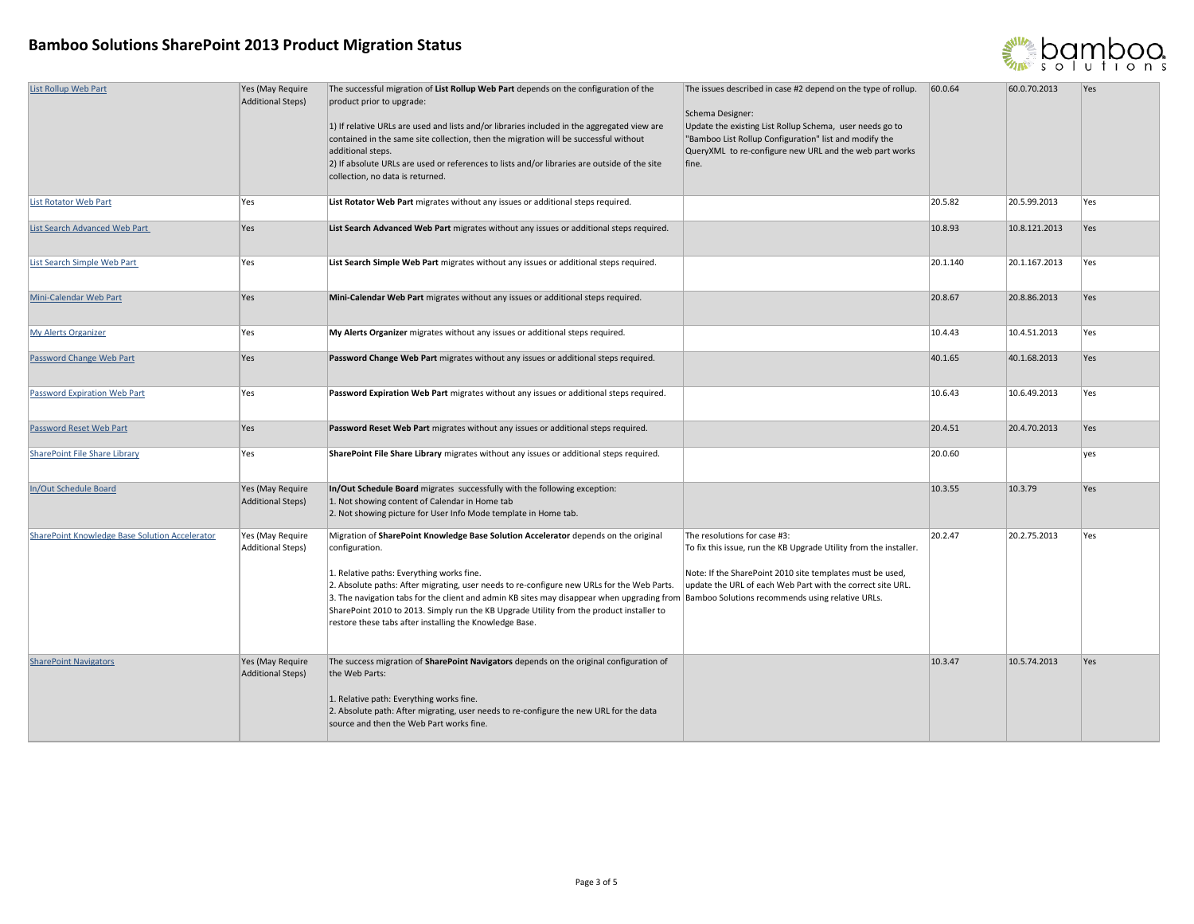

| <b>List Rollup Web Part</b>                    | Yes (May Require<br><b>Additional Steps)</b> | The successful migration of List Rollup Web Part depends on the configuration of the<br>product prior to upgrade:<br>1) If relative URLs are used and lists and/or libraries included in the aggregated view are<br>contained in the same site collection, then the migration will be successful without<br>additional steps.<br>2) If absolute URLs are used or references to lists and/or libraries are outside of the site<br>collection, no data is returned.                                                                                      | The issues described in case #2 depend on the type of rollup.<br>Schema Designer:<br>Update the existing List Rollup Schema, user needs go to<br>"Bamboo List Rollup Configuration" list and modify the<br>QueryXML to re-configure new URL and the web part works<br>fine. | 60.0.64  | 60.0.70.2013  | Yes        |
|------------------------------------------------|----------------------------------------------|--------------------------------------------------------------------------------------------------------------------------------------------------------------------------------------------------------------------------------------------------------------------------------------------------------------------------------------------------------------------------------------------------------------------------------------------------------------------------------------------------------------------------------------------------------|-----------------------------------------------------------------------------------------------------------------------------------------------------------------------------------------------------------------------------------------------------------------------------|----------|---------------|------------|
| <b>List Rotator Web Part</b>                   | Yes                                          | List Rotator Web Part migrates without any issues or additional steps required.                                                                                                                                                                                                                                                                                                                                                                                                                                                                        |                                                                                                                                                                                                                                                                             | 20.5.82  | 20.5.99.2013  | Yes        |
| List Search Advanced Web Part                  | Yes                                          | List Search Advanced Web Part migrates without any issues or additional steps required.                                                                                                                                                                                                                                                                                                                                                                                                                                                                |                                                                                                                                                                                                                                                                             | 10.8.93  | 10.8.121.2013 | Yes        |
| List Search Simple Web Part                    | Yes                                          | List Search Simple Web Part migrates without any issues or additional steps required.                                                                                                                                                                                                                                                                                                                                                                                                                                                                  |                                                                                                                                                                                                                                                                             | 20.1.140 | 20.1.167.2013 | Yes        |
| Mini-Calendar Web Part                         | Yes                                          | Mini-Calendar Web Part migrates without any issues or additional steps required.                                                                                                                                                                                                                                                                                                                                                                                                                                                                       |                                                                                                                                                                                                                                                                             | 20.8.67  | 20.8.86.2013  | <b>Yes</b> |
| <b>My Alerts Organizer</b>                     | Yes                                          | My Alerts Organizer migrates without any issues or additional steps required.                                                                                                                                                                                                                                                                                                                                                                                                                                                                          |                                                                                                                                                                                                                                                                             | 10.4.43  | 10.4.51.2013  | Yes        |
| Password Change Web Part                       | Yes                                          | Password Change Web Part migrates without any issues or additional steps required.                                                                                                                                                                                                                                                                                                                                                                                                                                                                     |                                                                                                                                                                                                                                                                             | 40.1.65  | 40.1.68.2013  | <b>Yes</b> |
| Password Expiration Web Part                   | Yes                                          | Password Expiration Web Part migrates without any issues or additional steps required.                                                                                                                                                                                                                                                                                                                                                                                                                                                                 |                                                                                                                                                                                                                                                                             | 10.6.43  | 10.6.49.2013  | Yes        |
| Password Reset Web Part                        | Yes                                          | Password Reset Web Part migrates without any issues or additional steps required.                                                                                                                                                                                                                                                                                                                                                                                                                                                                      |                                                                                                                                                                                                                                                                             | 20.4.51  | 20.4.70.2013  | Yes        |
| <b>SharePoint File Share Library</b>           | Yes                                          | SharePoint File Share Library migrates without any issues or additional steps required.                                                                                                                                                                                                                                                                                                                                                                                                                                                                |                                                                                                                                                                                                                                                                             | 20.0.60  |               | yes        |
| In/Out Schedule Board                          | Yes (May Require<br><b>Additional Steps)</b> | In/Out Schedule Board migrates successfully with the following exception:<br>1. Not showing content of Calendar in Home tab<br>2. Not showing picture for User Info Mode template in Home tab.                                                                                                                                                                                                                                                                                                                                                         |                                                                                                                                                                                                                                                                             | 10.3.55  | 10.3.79       | Yes        |
| SharePoint Knowledge Base Solution Accelerator | Yes (May Require<br>Additional Steps)        | Migration of SharePoint Knowledge Base Solution Accelerator depends on the original<br>configuration.<br>1. Relative paths: Everything works fine.<br>2. Absolute paths: After migrating, user needs to re-configure new URLs for the Web Parts.<br>3. The navigation tabs for the client and admin KB sites may disappear when upgrading from Bamboo Solutions recommends using relative URLs.<br>SharePoint 2010 to 2013. Simply run the KB Upgrade Utility from the product installer to<br>restore these tabs after installing the Knowledge Base. | The resolutions for case #3:<br>To fix this issue, run the KB Upgrade Utility from the installer.<br>Note: If the SharePoint 2010 site templates must be used,<br>update the URL of each Web Part with the correct site URL.                                                | 20.2.47  | 20.2.75.2013  | Yes        |
| <b>SharePoint Navigators</b>                   | Yes (May Require<br><b>Additional Steps)</b> | The success migration of <b>SharePoint Navigators</b> depends on the original configuration of<br>the Web Parts:<br>1. Relative path: Everything works fine.<br>2. Absolute path: After migrating, user needs to re-configure the new URL for the data<br>source and then the Web Part works fine.                                                                                                                                                                                                                                                     |                                                                                                                                                                                                                                                                             | 10.3.47  | 10.5.74.2013  | Yes        |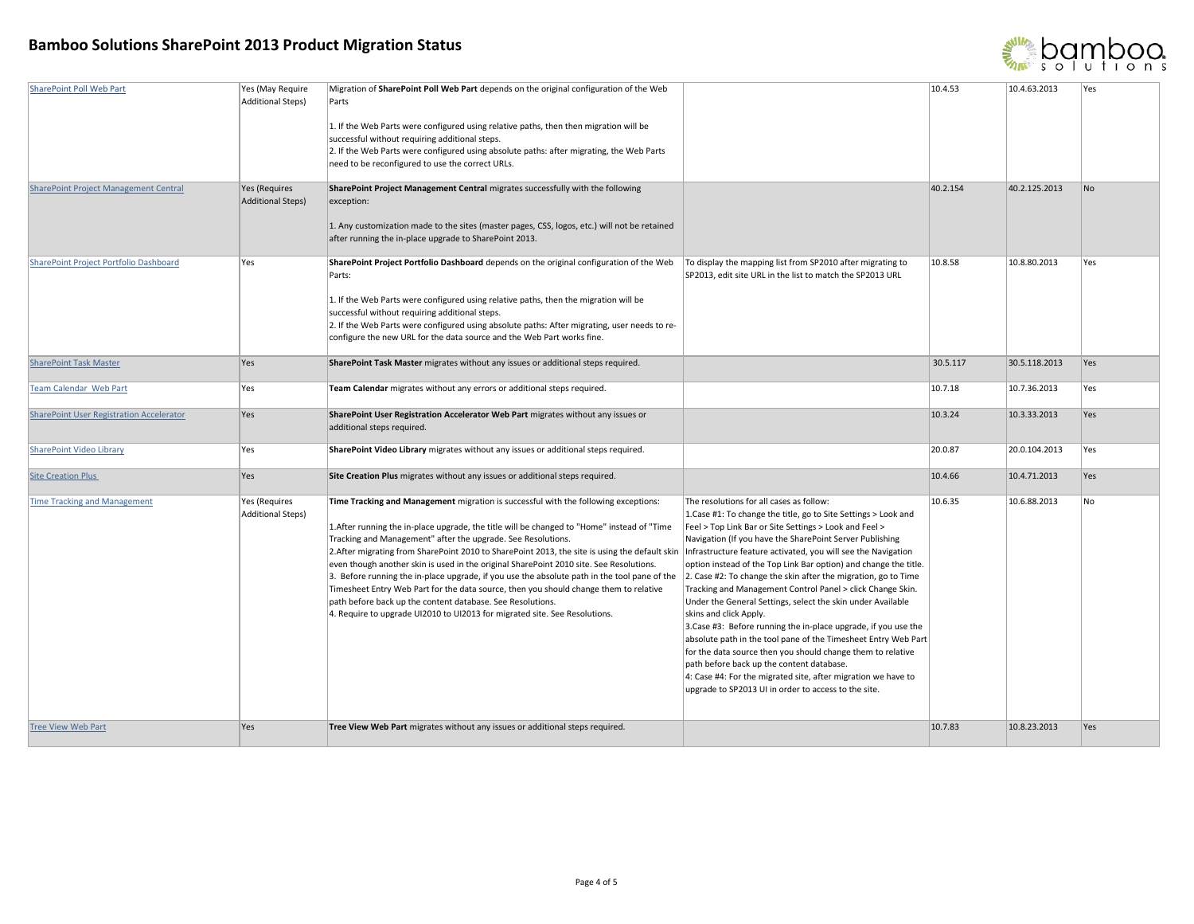

| SharePoint Poll Web Part                        | Yes (May Require<br><b>Additional Steps)</b> | Migration of SharePoint Poll Web Part depends on the original configuration of the Web<br>Parts<br>1. If the Web Parts were configured using relative paths, then then migration will be<br>successful without requiring additional steps.                                                                                                                                                                                                                                                                                                                                                                                                                                                                                                                                           |                                                                                                                                                                                                                                                                                                                                                                                                                                                                                                                                                                                                                                                                                                                                                                                                                                                                                                                                                                           | 10.4.53  | 10.4.63.2013  | Yes        |
|-------------------------------------------------|----------------------------------------------|--------------------------------------------------------------------------------------------------------------------------------------------------------------------------------------------------------------------------------------------------------------------------------------------------------------------------------------------------------------------------------------------------------------------------------------------------------------------------------------------------------------------------------------------------------------------------------------------------------------------------------------------------------------------------------------------------------------------------------------------------------------------------------------|---------------------------------------------------------------------------------------------------------------------------------------------------------------------------------------------------------------------------------------------------------------------------------------------------------------------------------------------------------------------------------------------------------------------------------------------------------------------------------------------------------------------------------------------------------------------------------------------------------------------------------------------------------------------------------------------------------------------------------------------------------------------------------------------------------------------------------------------------------------------------------------------------------------------------------------------------------------------------|----------|---------------|------------|
|                                                 |                                              | 2. If the Web Parts were configured using absolute paths: after migrating, the Web Parts<br>need to be reconfigured to use the correct URLs.                                                                                                                                                                                                                                                                                                                                                                                                                                                                                                                                                                                                                                         |                                                                                                                                                                                                                                                                                                                                                                                                                                                                                                                                                                                                                                                                                                                                                                                                                                                                                                                                                                           |          |               |            |
| SharePoint Project Management Central           | Yes (Requires<br><b>Additional Steps)</b>    | SharePoint Project Management Central migrates successfully with the following<br>exception:<br>1. Any customization made to the sites (master pages, CSS, logos, etc.) will not be retained<br>after running the in-place upgrade to SharePoint 2013.                                                                                                                                                                                                                                                                                                                                                                                                                                                                                                                               |                                                                                                                                                                                                                                                                                                                                                                                                                                                                                                                                                                                                                                                                                                                                                                                                                                                                                                                                                                           | 40.2.154 | 40.2.125.2013 | No.        |
| SharePoint Project Portfolio Dashboard          | Yes                                          | SharePoint Project Portfolio Dashboard depends on the original configuration of the Web<br>Parts:<br>1. If the Web Parts were configured using relative paths, then the migration will be<br>successful without requiring additional steps.<br>2. If the Web Parts were configured using absolute paths: After migrating, user needs to re-<br>configure the new URL for the data source and the Web Part works fine.                                                                                                                                                                                                                                                                                                                                                                | To display the mapping list from SP2010 after migrating to<br>SP2013, edit site URL in the list to match the SP2013 URL                                                                                                                                                                                                                                                                                                                                                                                                                                                                                                                                                                                                                                                                                                                                                                                                                                                   | 10.8.58  | 10.8.80.2013  | Yes        |
| <b>SharePoint Task Master</b>                   | Yes                                          | SharePoint Task Master migrates without any issues or additional steps required.                                                                                                                                                                                                                                                                                                                                                                                                                                                                                                                                                                                                                                                                                                     |                                                                                                                                                                                                                                                                                                                                                                                                                                                                                                                                                                                                                                                                                                                                                                                                                                                                                                                                                                           | 30.5.117 | 30.5.118.2013 | Yes        |
| Team Calendar Web Part                          | Yes                                          | Team Calendar migrates without any errors or additional steps required.                                                                                                                                                                                                                                                                                                                                                                                                                                                                                                                                                                                                                                                                                                              |                                                                                                                                                                                                                                                                                                                                                                                                                                                                                                                                                                                                                                                                                                                                                                                                                                                                                                                                                                           | 10.7.18  | 10.7.36.2013  | Yes        |
| <b>SharePoint User Registration Accelerator</b> | Yes                                          | SharePoint User Registration Accelerator Web Part migrates without any issues or<br>additional steps required.                                                                                                                                                                                                                                                                                                                                                                                                                                                                                                                                                                                                                                                                       |                                                                                                                                                                                                                                                                                                                                                                                                                                                                                                                                                                                                                                                                                                                                                                                                                                                                                                                                                                           | 10.3.24  | 10.3.33.2013  | <b>Yes</b> |
| <b>SharePoint Video Library</b>                 | Yes                                          | SharePoint Video Library migrates without any issues or additional steps required.                                                                                                                                                                                                                                                                                                                                                                                                                                                                                                                                                                                                                                                                                                   |                                                                                                                                                                                                                                                                                                                                                                                                                                                                                                                                                                                                                                                                                                                                                                                                                                                                                                                                                                           | 20.0.87  | 20.0.104.2013 | Yes        |
| <b>Site Creation Plus</b>                       | Yes                                          | Site Creation Plus migrates without any issues or additional steps required.                                                                                                                                                                                                                                                                                                                                                                                                                                                                                                                                                                                                                                                                                                         |                                                                                                                                                                                                                                                                                                                                                                                                                                                                                                                                                                                                                                                                                                                                                                                                                                                                                                                                                                           | 10.4.66  | 10.4.71.2013  | Yes        |
| <b>Time Tracking and Management</b>             | Yes (Requires<br><b>Additional Steps)</b>    | Time Tracking and Management migration is successful with the following exceptions:<br>1. After running the in-place upgrade, the title will be changed to "Home" instead of "Time<br>Tracking and Management" after the upgrade. See Resolutions.<br>2. After migrating from SharePoint 2010 to SharePoint 2013, the site is using the default skin<br>even though another skin is used in the original SharePoint 2010 site. See Resolutions.<br>3. Before running the in-place upgrade, if you use the absolute path in the tool pane of the<br>Timesheet Entry Web Part for the data source, then you should change them to relative<br>path before back up the content database. See Resolutions.<br>4. Require to upgrade UI2010 to UI2013 for migrated site. See Resolutions. | The resolutions for all cases as follow:<br>1. Case #1: To change the title, go to Site Settings > Look and<br>Feel > Top Link Bar or Site Settings > Look and Feel ><br>Navigation (If you have the SharePoint Server Publishing<br>Infrastructure feature activated, you will see the Navigation<br>option instead of the Top Link Bar option) and change the title.<br>2. Case #2: To change the skin after the migration, go to Time<br>Tracking and Management Control Panel > click Change Skin.<br>Under the General Settings, select the skin under Available<br>skins and click Apply.<br>3. Case #3: Before running the in-place upgrade, if you use the<br>absolute path in the tool pane of the Timesheet Entry Web Part<br>for the data source then you should change them to relative<br>path before back up the content database.<br>4: Case #4: For the migrated site, after migration we have to<br>upgrade to SP2013 UI in order to access to the site. | 10.6.35  | 10.6.88.2013  | No         |
| <b>Tree View Web Part</b>                       | Yes                                          | Tree View Web Part migrates without any issues or additional steps required.                                                                                                                                                                                                                                                                                                                                                                                                                                                                                                                                                                                                                                                                                                         |                                                                                                                                                                                                                                                                                                                                                                                                                                                                                                                                                                                                                                                                                                                                                                                                                                                                                                                                                                           | 10.7.83  | 10.8.23.2013  | Yes        |